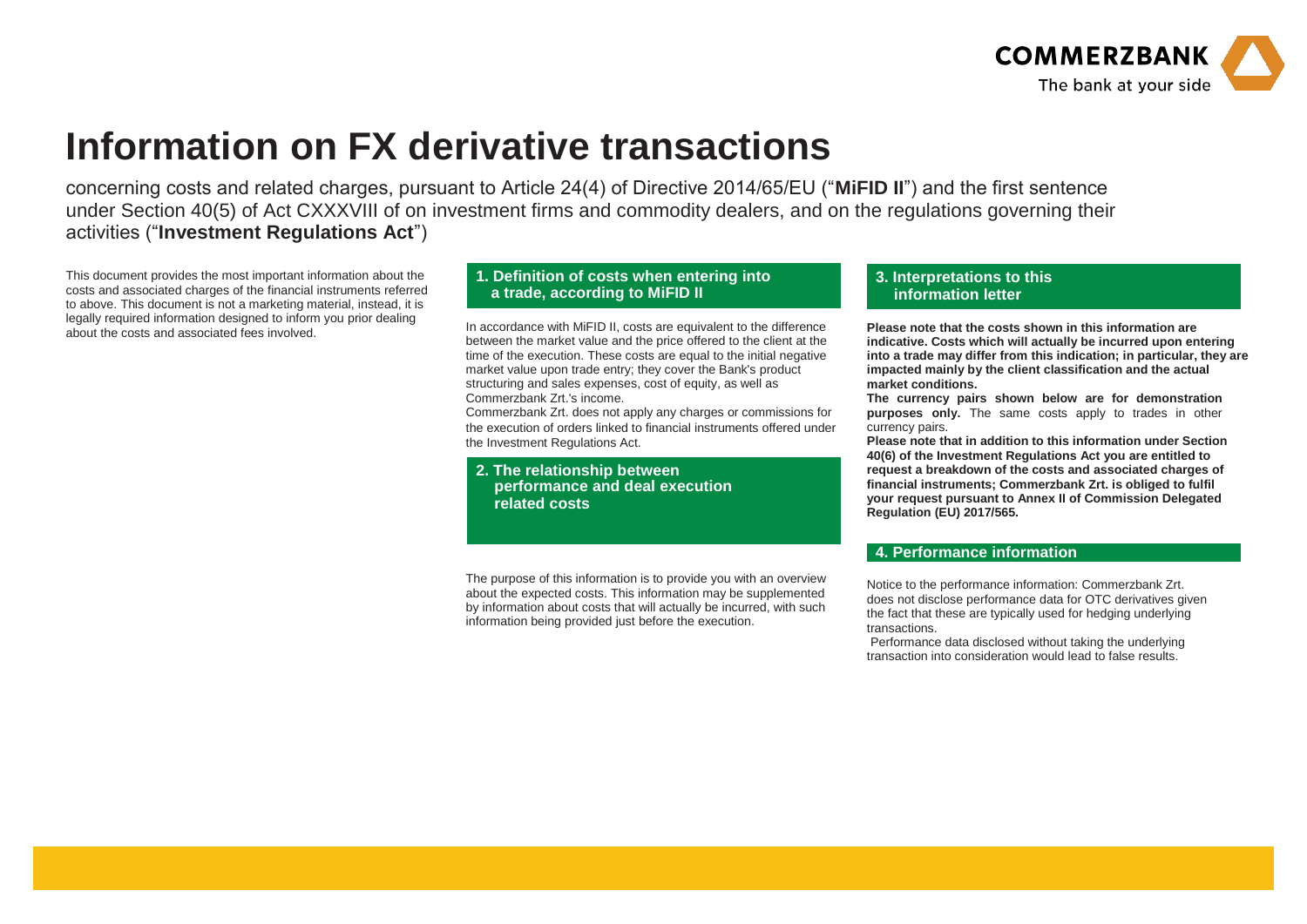

## **Information on FX derivative transactions**

concerning costs and related charges, pursuant to Article 24(4) of Directive 2014/65/EU ("**MiFID II**") and the first sentence under Section 40(5) of Act CXXXVIII of on investment firms and commodity dealers, and on the regulations governing their activities ("**Investment Regulations Act**")

This document provides the most important information about the costs and associated charges of the financial instruments referred to above. This document is not a marketing material, instead, it is legally required information designed to inform you prior dealing<br>about the costs and associated fees involved.

## **1. Definition of costs when entering into a trade, according to MiFID II**

In accordance with MiFID II, costs are equivalent to the difference between the market value and the price offered to the client at the time of the execution. These costs are equal to the initial negative market value upon trade entry; they cover the Bank's product structuring and sales expenses, cost of equity, as well as Commerzbank Zrt.'s income.

Commerzbank Zrt. does not apply any charges or commissions for the execution of orders linked to financial instruments offered under the Investment Regulations Act.

**2. The relationship between performance and deal execution related costs** 

The purpose of this information is to provide you with an overview about the expected costs. This information may be supplemented by information about costs that will actually be incurred, with such information being provided just before the execution.

## **3. Interpretations to this information letter**

**Please note that the costs shown in this information are indicative. Costs which will actually be incurred upon entering into a trade may differ from this indication; in particular, they are impacted mainly by the client classification and the actual market conditions.**

**The currency pairs shown below are for demonstration purposes only.** The same costs apply to trades in other currency pairs.

**Please note that in addition to this information under Section 40(6) of the Investment Regulations Act you are entitled to request a breakdown of the costs and associated charges of financial instruments; Commerzbank Zrt. is obliged to fulfil your request pursuant to Annex II of Commission Delegated Regulation (EU) 2017/565.**

## **4. Performance information**

Notice to the performance information: Commerzbank Zrt. does not disclose performance data for OTC derivatives given the fact that these are typically used for hedging underlying transactions.

Performance data disclosed without taking the underlying transaction into consideration would lead to false results.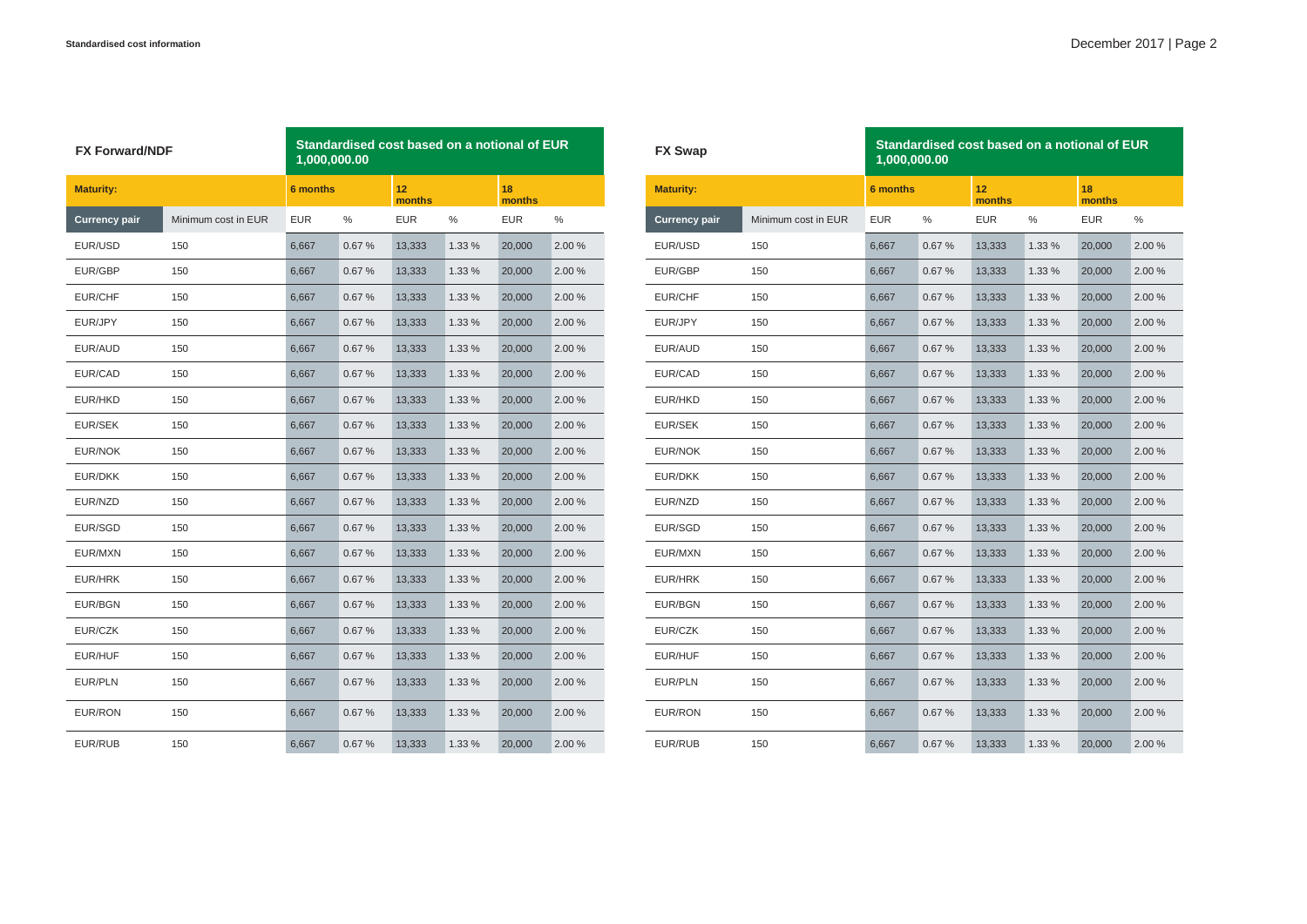| <b>FX Forward/NDF</b> |                     | Standardised cost based on a notional of EUR<br>1,000,000.00 |                 |            |                           |            |              |  | <b>FX Swap</b>   |
|-----------------------|---------------------|--------------------------------------------------------------|-----------------|------------|---------------------------|------------|--------------|--|------------------|
| <b>Maturity:</b>      |                     |                                                              | <b>6 months</b> |            | 12 <sub>2</sub><br>months |            | 18<br>months |  | <b>Maturity:</b> |
| <b>Currency pair</b>  | Minimum cost in EUR | <b>EUR</b>                                                   | %               | <b>EUR</b> | %                         | <b>EUR</b> | ℅            |  | Currency p       |
| EUR/USD               | 150                 | 6,667                                                        | 0.67%           | 13,333     | 1.33 %                    | 20,000     | 2.00%        |  | EUR/USD          |
| EUR/GBP               | 150                 | 6,667                                                        | 0.67%           | 13,333     | 1.33 %                    | 20,000     | 2.00%        |  | EUR/GBP          |
| EUR/CHF               | 150                 | 6,667                                                        | 0.67%           | 13,333     | 1.33 %                    | 20,000     | 2.00 %       |  | EUR/CHF          |
| EUR/JPY               | 150                 | 6,667                                                        | 0.67%           | 13,333     | 1.33 %                    | 20,000     | 2.00 %       |  | EUR/JPY          |
| EUR/AUD               | 150                 | 6,667                                                        | 0.67%           | 13,333     | 1.33 %                    | 20,000     | 2.00 %       |  | EUR/AUD          |
| EUR/CAD               | 150                 | 6,667                                                        | 0.67%           | 13,333     | 1.33 %                    | 20,000     | 2.00%        |  | EUR/CAD          |
| EUR/HKD               | 150                 | 6,667                                                        | 0.67%           | 13,333     | 1.33 %                    | 20,000     | 2.00 %       |  | EUR/HKD          |
| EUR/SEK               | 150                 | 6,667                                                        | 0.67%           | 13,333     | 1.33 %                    | 20,000     | 2.00 %       |  | EUR/SEK          |
| EUR/NOK               | 150                 | 6,667                                                        | 0.67%           | 13,333     | 1.33 %                    | 20,000     | 2.00 %       |  | EUR/NOK          |
| EUR/DKK               | 150                 | 6,667                                                        | 0.67%           | 13,333     | 1.33 %                    | 20,000     | 2.00%        |  | <b>EUR/DKK</b>   |
| EUR/NZD               | 150                 | 6,667                                                        | 0.67%           | 13,333     | 1.33 %                    | 20,000     | 2.00 %       |  | EUR/NZD          |
| EUR/SGD               | 150                 | 6,667                                                        | 0.67%           | 13,333     | 1.33 %                    | 20,000     | 2.00 %       |  | EUR/SGD          |
| EUR/MXN               | 150                 | 6,667                                                        | 0.67%           | 13,333     | 1.33 %                    | 20,000     | 2.00%        |  | EUR/MXN          |
| EUR/HRK               | 150                 | 6,667                                                        | 0.67%           | 13,333     | 1.33 %                    | 20,000     | 2.00 %       |  | EUR/HRK          |
| EUR/BGN               | 150                 | 6,667                                                        | 0.67%           | 13,333     | 1.33 %                    | 20,000     | 2.00%        |  | EUR/BGN          |
| EUR/CZK               | 150                 | 6,667                                                        | 0.67%           | 13,333     | 1.33 %                    | 20,000     | 2.00 %       |  | EUR/CZK          |
| EUR/HUF               | 150                 | 6,667                                                        | 0.67%           | 13,333     | 1.33 %                    | 20,000     | 2.00 %       |  | EUR/HUF          |
| <b>EUR/PLN</b>        | 150                 | 6,667                                                        | 0.67%           | 13,333     | 1.33 %                    | 20,000     | 2.00%        |  | EUR/PLN          |
| EUR/RON               | 150                 | 6,667                                                        | 0.67%           | 13,333     | 1.33 %                    | 20,000     | 2.00 %       |  | EUR/RON          |
| EUR/RUB               | 150                 | 6,667                                                        | 0.67%           | 13,333     | 1.33 %                    | 20,000     | 2.00 %       |  | EUR/RUB          |

| <b>FX Swap</b>       |                     | 1,000,000.00    | Standardised cost based on a notional of EUR |              |        |              |        |
|----------------------|---------------------|-----------------|----------------------------------------------|--------------|--------|--------------|--------|
| <b>Maturity:</b>     |                     | <b>6 months</b> |                                              | 12<br>months |        | 18<br>months |        |
| <b>Currency pair</b> | Minimum cost in EUR | <b>EUR</b>      | %                                            | <b>EUR</b>   | %      | <b>EUR</b>   | $\%$   |
| EUR/USD              | 150                 | 6,667           | 0.67%                                        | 13,333       | 1.33 % | 20,000       | 2.00%  |
| EUR/GBP              | 150                 | 6,667           | 0.67%                                        | 13,333       | 1.33 % | 20,000       | 2.00 % |
| EUR/CHF              | 150                 | 6,667           | 0.67%                                        | 13,333       | 1.33 % | 20,000       | 2.00 % |
| EUR/JPY              | 150                 | 6,667           | 0.67%                                        | 13,333       | 1.33 % | 20,000       | 2.00 % |
| EUR/AUD              | 150                 | 6,667           | 0.67%                                        | 13,333       | 1.33 % | 20,000       | 2.00 % |
| EUR/CAD              | 150                 | 6,667           | 0.67%                                        | 13,333       | 1.33 % | 20,000       | 2.00 % |
| EUR/HKD              | 150                 | 6,667           | 0.67%                                        | 13,333       | 1.33 % | 20,000       | 2.00%  |
| <b>EUR/SEK</b>       | 150                 | 6,667           | 0.67%                                        | 13,333       | 1.33 % | 20,000       | 2.00%  |
| EUR/NOK              | 150                 | 6,667           | 0.67%                                        | 13,333       | 1.33 % | 20,000       | 2.00 % |
| EUR/DKK              | 150                 | 6,667           | 0.67%                                        | 13,333       | 1.33 % | 20,000       | 2.00%  |
| EUR/NZD              | 150                 | 6,667           | 0.67%                                        | 13,333       | 1.33 % | 20,000       | 2.00 % |
| EUR/SGD              | 150                 | 6,667           | 0.67%                                        | 13,333       | 1.33 % | 20,000       | 2.00 % |
| EUR/MXN              | 150                 | 6,667           | 0.67%                                        | 13,333       | 1.33 % | 20,000       | 2.00 % |
| EUR/HRK              | 150                 | 6,667           | 0.67%                                        | 13,333       | 1.33 % | 20,000       | 2.00 % |
| EUR/BGN              | 150                 | 6,667           | 0.67%                                        | 13,333       | 1.33 % | 20,000       | 2.00 % |
| EUR/CZK              | 150                 | 6,667           | 0.67%                                        | 13,333       | 1.33 % | 20,000       | 2.00 % |
| EUR/HUF              | 150                 | 6,667           | 0.67%                                        | 13,333       | 1.33 % | 20,000       | 2.00%  |
| EUR/PLN              | 150                 | 6,667           | 0.67%                                        | 13,333       | 1.33 % | 20,000       | 2.00 % |
| EUR/RON              | 150                 | 6,667           | 0.67%                                        | 13,333       | 1.33 % | 20,000       | 2.00 % |
| EUR/RUB              | 150                 | 6,667           | 0.67%                                        | 13,333       | 1.33 % | 20,000       | 2.00 % |